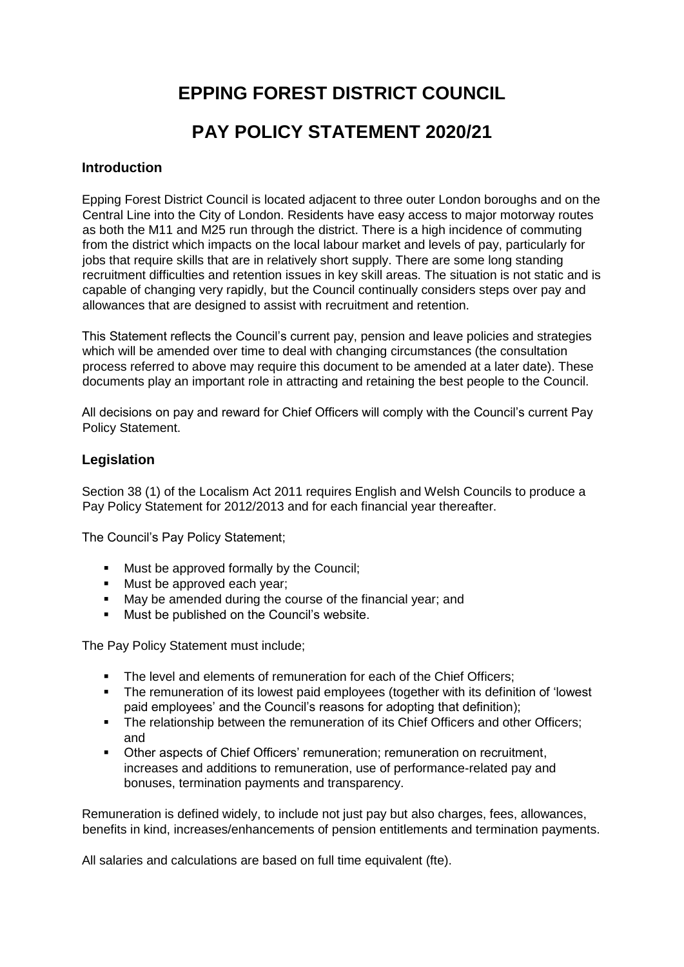# **EPPING FOREST DISTRICT COUNCIL PAY POLICY STATEMENT 2020/21**

### **Introduction**

Epping Forest District Council is located adjacent to three outer London boroughs and on the Central Line into the City of London. Residents have easy access to major motorway routes as both the M11 and M25 run through the district. There is a high incidence of commuting from the district which impacts on the local labour market and levels of pay, particularly for jobs that require skills that are in relatively short supply. There are some long standing recruitment difficulties and retention issues in key skill areas. The situation is not static and is capable of changing very rapidly, but the Council continually considers steps over pay and allowances that are designed to assist with recruitment and retention.

This Statement reflects the Council's current pay, pension and leave policies and strategies which will be amended over time to deal with changing circumstances (the consultation process referred to above may require this document to be amended at a later date). These documents play an important role in attracting and retaining the best people to the Council.

All decisions on pay and reward for Chief Officers will comply with the Council's current Pay Policy Statement.

### **Legislation**

Section 38 (1) of the Localism Act 2011 requires English and Welsh Councils to produce a Pay Policy Statement for 2012/2013 and for each financial year thereafter.

The Council's Pay Policy Statement;

- **Must be approved formally by the Council;**
- **Must be approved each year;**
- **May be amended during the course of the financial year; and**
- Must be published on the Council's website.

The Pay Policy Statement must include;

- The level and elements of remuneration for each of the Chief Officers:
- The remuneration of its lowest paid employees (together with its definition of 'lowest paid employees' and the Council's reasons for adopting that definition);
- The relationship between the remuneration of its Chief Officers and other Officers: and
- Other aspects of Chief Officers' remuneration; remuneration on recruitment, increases and additions to remuneration, use of performance-related pay and bonuses, termination payments and transparency.

Remuneration is defined widely, to include not just pay but also charges, fees, allowances, benefits in kind, increases/enhancements of pension entitlements and termination payments.

All salaries and calculations are based on full time equivalent (fte).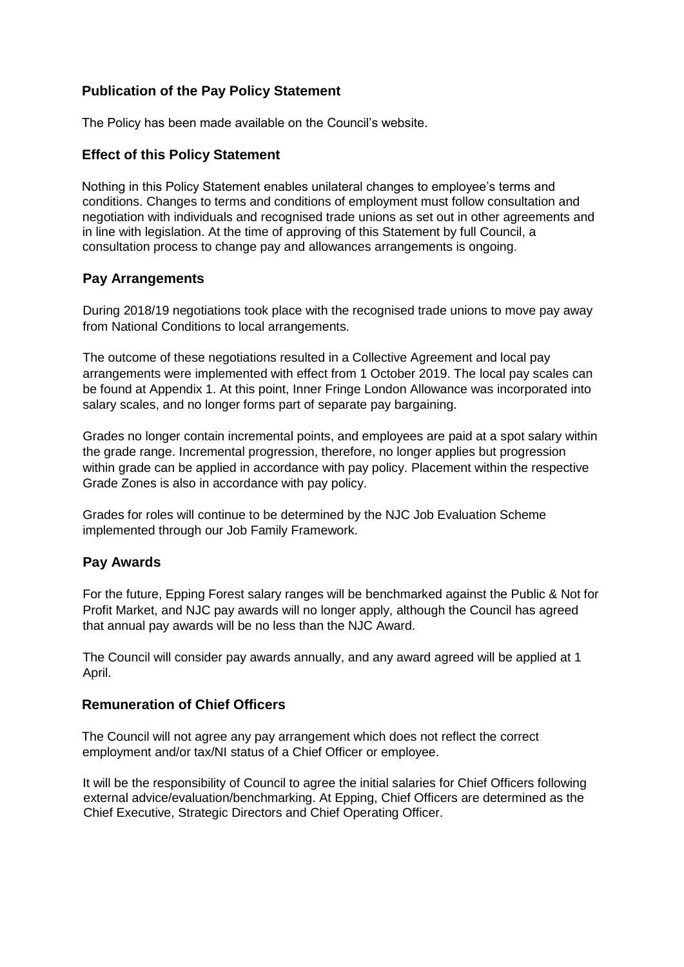## **Publication of the Pay Policy Statement**

The Policy has been made available on the Council's website.

## **Effect of this Policy Statement**

Nothing in this Policy Statement enables unilateral changes to employee's terms and conditions. Changes to terms and conditions of employment must follow consultation and negotiation with individuals and recognised trade unions as set out in other agreements and in line with legislation. At the time of approving of this Statement by full Council, a consultation process to change pay and allowances arrangements is ongoing.

## **Pay Arrangements**

During 2018/19 negotiations took place with the recognised trade unions to move pay away from National Conditions to local arrangements.

The outcome of these negotiations resulted in a Collective Agreement and local pay arrangements were implemented with effect from 1 October 2019. The local pay scales can be found at Appendix 1. At this point, Inner Fringe London Allowance was incorporated into salary scales, and no longer forms part of separate pay bargaining.

Grades no longer contain incremental points, and employees are paid at a spot salary within the grade range. Incremental progression, therefore, no longer applies but progression within grade can be applied in accordance with pay policy. Placement within the respective Grade Zones is also in accordance with pay policy.

Grades for roles will continue to be determined by the NJC Job Evaluation Scheme implemented through our Job Family Framework[.](https://www.eppingforestdc.gov.uk/wp-content/uploads/2019/07/7-building-maintenance-collective-agreement.pdf)

## **Pay Awards**

For the future, Epping Forest salary ranges will be benchmarked against the Public & Not for Profit Market, and NJC pay awards will no longer apply, although the Council has agreed that annual pay awards will be no less than the NJC Award.

The Council will consider pay awards annually, and any award agreed will be applied at 1 April.

## **Remuneration of Chief Officers**

The Council will not agree any pay arrangement which does not reflect the correct employment and/or tax/NI status of a Chief Officer or employee.

It will be the responsibility of Council to agree the initial salaries for Chief Officers following external advice/evaluation/benchmarking. At Epping, Chief Officers are determined as the Chief Executive, Strategic Directors and Chief Operating Officer.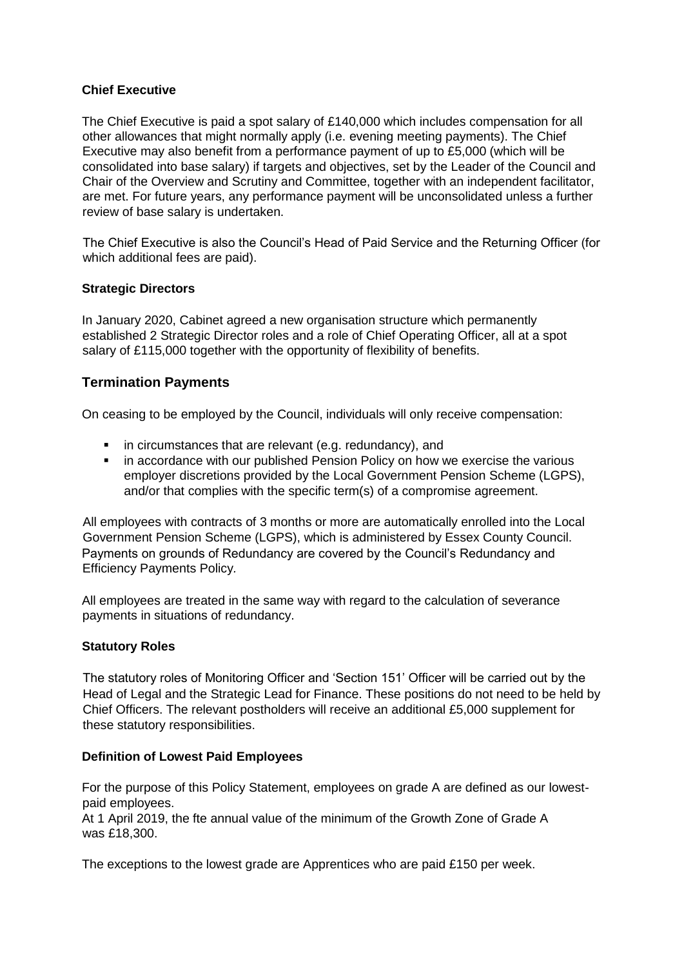### **Chief Executive**

The Chief Executive is paid a spot salary of £140,000 which includes compensation for all other allowances that might normally apply (i.e. evening meeting payments). The Chief Executive may also benefit from a performance payment of up to £5,000 (which will be consolidated into base salary) if targets and objectives, set by the Leader of the Council and Chair of the Overview and Scrutiny and Committee, together with an independent facilitator, are met. For future years, any performance payment will be unconsolidated unless a further review of base salary is undertaken.

The Chief Executive is also the Council's Head of Paid Service and the Returning Officer (for which additional fees are paid).

#### **Strategic Directors**

In January 2020, Cabinet agreed a new organisation structure which permanently established 2 Strategic Director roles and a role of Chief Operating Officer, all at a spot salary of £115,000 together with the opportunity of flexibility of benefits.

## **Termination Payments**

On ceasing to be employed by the Council, individuals will only receive compensation:

- **i** in circumstances that are relevant (e.g. redundancy), and
- in accordance with our published Pension Policy on how we exercise the various employer discretions provided by the Local Government Pension Scheme (LGPS), and/or that complies with the specific term(s) of a compromise agreement.

All employees with contracts of 3 months or more are automatically enrolled into the Local Government Pension Scheme (LGPS), which is administered by Essex County Council. Payments on grounds of Redundancy are covered by the Council's Redundancy and Efficiency Payments Policy*.*

All employees are treated in the same way with regard to the calculation of severance payments in situations of redundancy.

#### **Statutory Roles**

The statutory roles of Monitoring Officer and 'Section 151' Officer will be carried out by the Head of Legal and the Strategic Lead for Finance. These positions do not need to be held by Chief Officers. The relevant postholders will receive an additional £5,000 supplement for these statutory responsibilities.

### **Definition of Lowest Paid Employees**

For the purpose of this Policy Statement, employees on grade A are defined as our lowestpaid employees. At 1 April 2019, the fte annual value of the minimum of the Growth Zone of Grade A was £18,300.

The exceptions to the lowest grade are Apprentices who are paid £150 per week.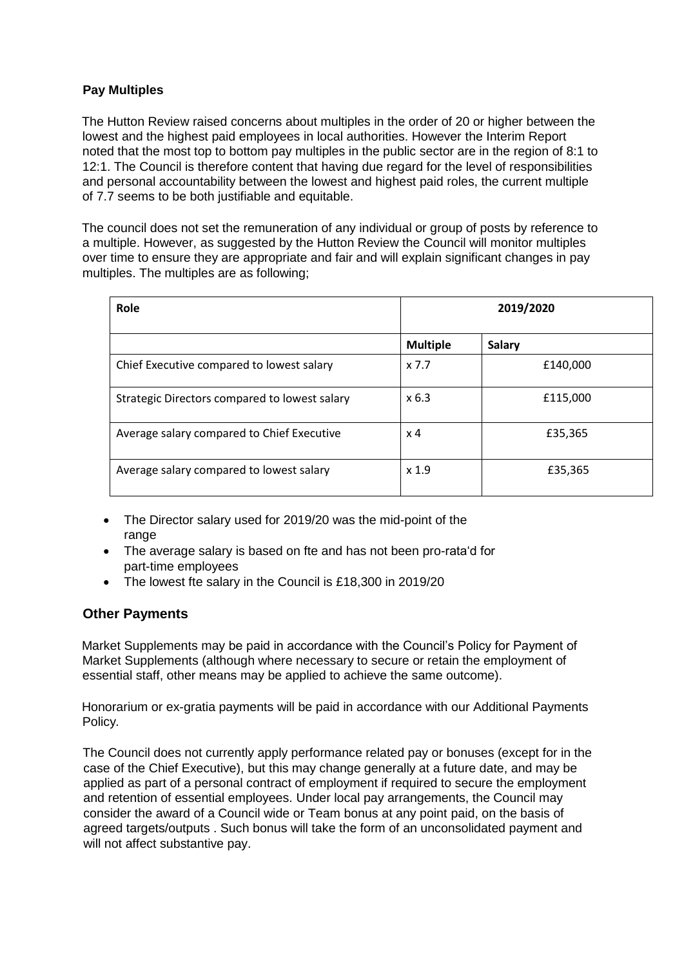## **Pay Multiples**

The Hutton Review raised concerns about multiples in the order of 20 or higher between the lowest and the highest paid employees in local authorities. However the Interim Report noted that the most top to bottom pay multiples in the public sector are in the region of 8:1 to 12:1. The Council is therefore content that having due regard for the level of responsibilities and personal accountability between the lowest and highest paid roles, the current multiple of 7.7 seems to be both justifiable and equitable.

The council does not set the remuneration of any individual or group of posts by reference to a multiple. However, as suggested by the Hutton Review the Council will monitor multiples over time to ensure they are appropriate and fair and will explain significant changes in pay multiples. The multiples are as following;

| Role                                          |                  | 2019/2020     |  |
|-----------------------------------------------|------------------|---------------|--|
|                                               | <b>Multiple</b>  | <b>Salary</b> |  |
| Chief Executive compared to lowest salary     | x 7.7            | £140,000      |  |
| Strategic Directors compared to lowest salary | x 6.3            | £115,000      |  |
| Average salary compared to Chief Executive    | x 4              | £35,365       |  |
| Average salary compared to lowest salary      | x <sub>1.9</sub> | £35,365       |  |

- The Director salary used for 2019/20 was the mid-point of the range
- The average salary is based on fte and has not been pro-rata'd for part-time employees
- The lowest fte salary in the Council is £18,300 in 2019/20

## **Other Payments**

Market Supplements may be paid in accordance with the Council's Policy for Payment of Market Supplements (although where necessary to secure or retain the employment of essential staff, other means may be applied to achieve the same outcome).

Honorarium or ex-gratia payments will be paid in accordance with our Additional Payments Policy*.* 

The Council does not currently apply performance related pay or bonuses (except for in the case of the Chief Executive), but this may change generally at a future date, and may be applied as part of a personal contract of employment if required to secure the employment and retention of essential employees. Under local pay arrangements, the Council may consider the award of a Council wide or Team bonus at any point paid, on the basis of agreed targets/outputs . Such bonus will take the form of an unconsolidated payment and will not affect substantive pay.